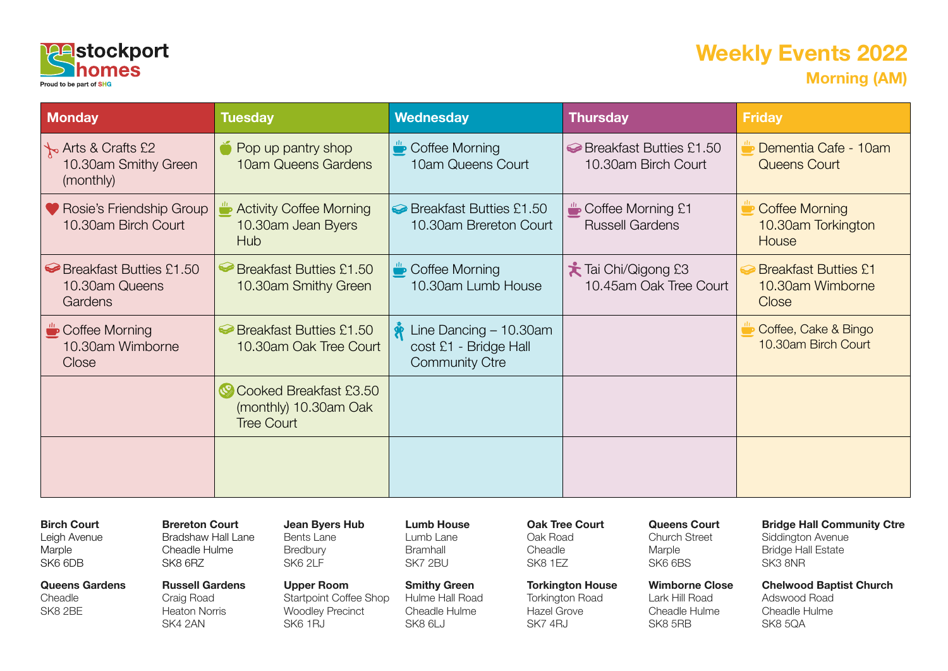

## **Weekly Events 2022**

| <b>Monday</b>                                                              | <b>Tuesday</b>                                                       | Wednesday                                                                | <b>Thursday</b>                                                              | <b>Friday</b>                                                   |
|----------------------------------------------------------------------------|----------------------------------------------------------------------|--------------------------------------------------------------------------|------------------------------------------------------------------------------|-----------------------------------------------------------------|
| $\sim$ Arts & Crafts £2<br>10.30am Smithy Green<br>(monthly)               | Pop up pantry shop<br>10am Queens Gardens                            | $\overset{w}{\bullet}$ Coffee Morning<br>10am Queens Court               | <b> S</b> Breakfast Butties £1.50<br>10.30am Birch Court                     | Dementia Cafe - 10am<br><b>Queens Court</b>                     |
| Rosie's Friendship Group<br>10.30am Birch Court                            | <b>Activity Coffee Morning</b><br>10.30am Jean Byers<br>Hub          | Breakfast Butties £1.50<br>10.30am Brereton Court                        | $\stackrel{th}{\longrightarrow}$ Coffee Morning £1<br><b>Russell Gardens</b> | <b>Coffee Morning</b><br>10.30am Torkington<br><b>House</b>     |
| <b> S</b> Breakfast Butties £1.50<br>10.30am Queens<br>Gardens             | <b>Breakfast Butties £1.50</b><br>❤<br>10.30am Smithy Green          | $\overset{w}{\bullet}$ Coffee Morning<br>10.30am Lumb House              | Tai Chi/Qigong £3<br>10.45am Oak Tree Court                                  | <b>Breakfast Butties £1</b><br>10.30am Wimborne<br><b>Close</b> |
| $\overset{w}{\longrightarrow}$ Coffee Morning<br>10.30am Wimborne<br>Close | <b>Exercise Butties £1.50</b><br>10.30am Oak Tree Court              | Line Dancing - 10.30am<br>cost £1 - Bridge Hall<br><b>Community Ctre</b> |                                                                              | Coffee, Cake & Bingo<br>10.30am Birch Court                     |
|                                                                            | Cooked Breakfast £3.50<br>(monthly) 10.30am Oak<br><b>Tree Court</b> |                                                                          |                                                                              |                                                                 |
|                                                                            |                                                                      |                                                                          |                                                                              |                                                                 |

**Birch Court** Leigh Avenue Marple SK6 6DB

**Queens Gardens** Cheadle SK8 2BE

**Brereton Court** Bradshaw Hall Lane Cheadle Hulme SK8 6RZ

**Russell Gardens** Craig Road Heaton Norris SK4 2AN

**Lumb House** Lumb Lane Bramhall SK7 2BU **Jean Byers Hub**

> **Smithy Green** Hulme Hall Road Cheadle Hulme SK8 6LJ

**Upper Room** Startpoint Coffee Shop Woodley Precinct SK6 1RJ

Bents Lane **Bredbury** SK6 2LF

**Oak Tree Court** Oak Road Cheadle SK8 1EZ

> **Torkington House** Torkington Road Hazel Grove **SK7 4RJ**

**Queens Court** Church Street Marple SK6 6BS

**Wimborne Close** Lark Hill Road Cheadle Hulme

SK8 5RB

**Bridge Hall Community Ctre** Siddington Avenue Bridge Hall Estate SK3 8NR

**Chelwood Baptist Church** Adswood Road Cheadle Hulme SK8 5QA